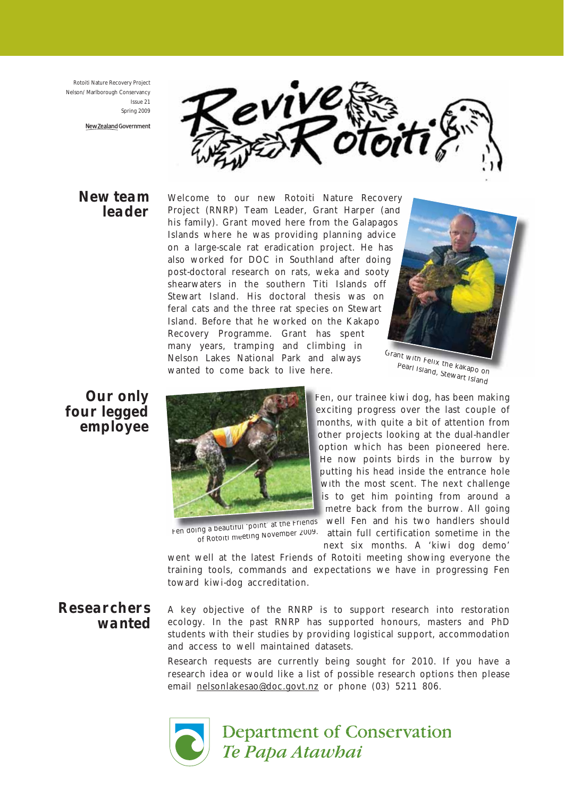Rotoiti Nature Recovery Project Nelson/ Marlborough Conservancy Issue 21 Spring 2009

New Zealand Government



#### New team leader

Welcome to our new Rotoiti Nature Recovery Project (RNRP) Team Leader, Grant Harper (and his family). Grant moved here from the Galapagos Islands where he was providing planning advice on a large-scale rat eradication project. He has on a large-scale rat eradication project. He has<br>also worked for DOC in Southland after doing post-doctoral research on rats, weka and sooty shearwaters in the southern Titi Islands off Stewart Island. His doctoral thesis was on feral cats and the three rat species on Stewart Island. Before that he worked on the Kakapo Recovery Programme. Grant has spent many years, tramping and climbing in Nelson Lakes National Park and always wanted to come back to live here.



Grant with Felix the kakapo on Pearl Island, Stewart Island<br>External, Stewart Island

Our only four legged employee



Fen doing a beautiful 'point' at the Friends

Fen, our trainee kiwi dog, has been making Fen exciting progress over the last couple of months, with quite a bit of attention from mo other projects looking at the dual-handler option which has been pioneered here. He now points birds in the burrow by He putting his head inside the entrance hole pu with the most scent. The next challenge is to get him pointing from around a metre back from the burrow. All going m well Fen and his two handlers should w

ng a bead...d. <sub>r</sub><br><sub>of Rotoiti meeting November 2009. attain full certification sometime in the</sub> next six months. A 'kiwi dog demo'

went well at the latest Friends of Rotoiti meeting showing everyone the training tools, commands and expectations we have in progressing Fen toward kiwi-dog accreditation.

# Researchers wanted

A key objective of the RNRP is to support research into restoration ecology. In the past RNRP has supported honours, masters and PhD students with their studies by providing logistical support, accommodation and access to well maintained datasets.

Research requests are currently being sought for 2010. If you have a research idea or would like a list of possible research options then please email nelsonlakesao@doc.govt.nz or phone (03) 5211 806.



**Department of Conservation** Te Papa Atawbai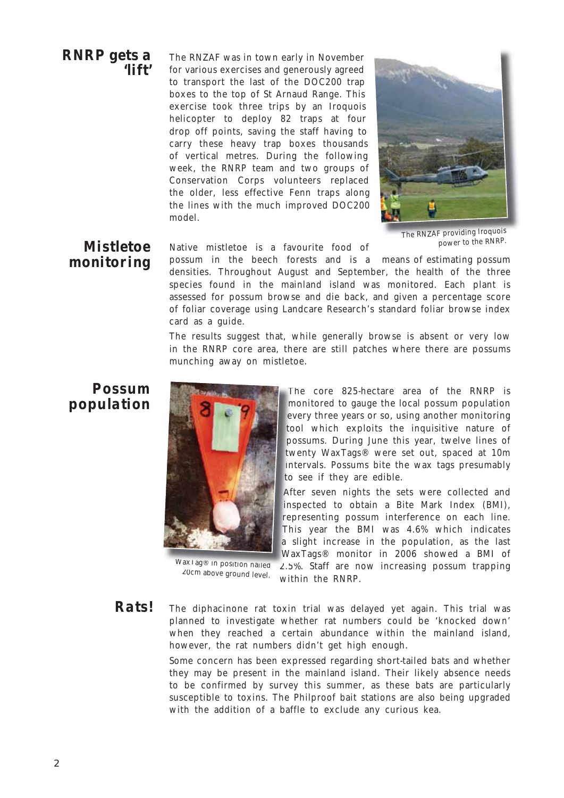#### RNRP gets a 'lift'

The RNZAF was in town early in November for various exercises and generously agreed to transport the last of the DOC200 trap boxes to the top of St Arnaud Range. This exercise took three trips by an Iroquois helicopter to deploy 82 traps at four drop off points, saving the staff having to carry these heavy trap boxes thousands of vertical metres. During the following week, the RNRP team and two groups of Conservation Corps volunteers replaced the older, less effective Fenn traps along the lines with the much improved DOC200 model.



The RNZAF providing Iroquois power to the RNRP.

# Mistletoe monitoring

Native mistletoe is a favourite food of

possum in the beech forests and is a means of estimating possum densities. Throughout August and September, the health of the three species found in the mainland island was monitored. Each plant is assessed for possum browse and die back, and given a percentage score of foliar coverage using Landcare Research's standard foliar browse index card as a guide.

The results suggest that, while generally browse is absent or very low in the RNRP core area, there are still patches where there are possums munching away on mistletoe.

# Possum population



WaxTag® in position nailed ax rag® in position nailed = 2.5%<br>20cm above ground level. ……th

The core 825-hectare area of the RNRP is Th monitored to gauge the local possum population m every three years or so, using another monitoring ev tool which exploits the inquisitive nature of possums. During June this year, twelve lines of po twenty WaxTags® were set out, spaced at 10m tw intervals. Possums bite the wax tags presumably int to see if they are edible.

After seven nights the sets were collected and Aft inspected to obtain a Bite Mark Index (BMI), insp representing possum interference on each line. This year the BMI was 4.6% which indicates Thi a slight increase in the population, as the last WaxTags® monitor in 2006 showed a BMI of Wax

2.5%. Staff are now increasing possum trapping within the RNRP.

The diphacinone rat toxin trial was delayed yet again. This trial was planned to investigate whether rat numbers could be 'knocked down' when they reached a certain abundance within the mainland island, however, the rat numbers didn't get high enough. Rats!

> Some concern has been expressed regarding short-tailed bats and whether they may be present in the mainland island. Their likely absence needs to be confirmed by survey this summer, as these bats are particularly susceptible to toxins. The Philproof bait stations are also being upgraded with the addition of a baffle to exclude any curious kea.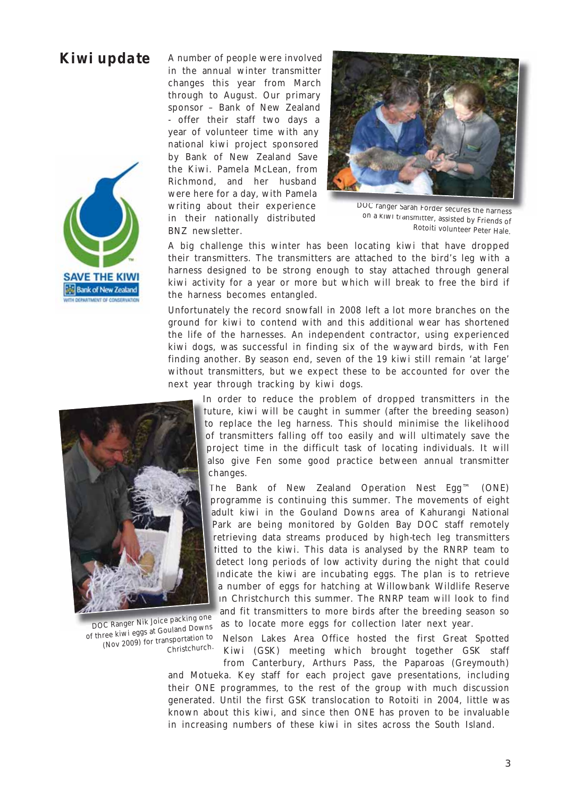# Kiwi update



A number of people were involved in the annual winter transmitter changes this year from March through to August. Our primary sponsor – Bank of New Zealand - offer their staff two days a year of volunteer time with any national kiwi project sponsored by Bank of New Zealand Save the Kiwi. Pamela McLean, from Richmond, and her husband were here for a day, with Pamela writing about their experience in their nationally distributed BNZ newsletter.



DOC ranger Sarah Forder secures the harness on a kiwi transmitter, assisted by Friends of Rotoiti volunteer Peter Hale.

A big challenge this winter has been locating kiwi that have dropped their transmitters. The transmitters are attached to the bird's leg with a harness designed to be strong enough to stay attached through general kiwi activity for a year or more but which will break to free the bird if the harness becomes entangled.

Unfortunately the record snowfall in 2008 left a lot more branches on the ground for kiwi to contend with and this additional wear has shortened the life of the harnesses. An independent contractor, using experienced kiwi dogs, was successful in finding six of the wayward birds, with Fen finding another. By season end, seven of the 19 kiwi still remain 'at large' without transmitters, but we expect these to be accounted for over the next year through tracking by kiwi dogs.

> In order to reduce the problem of dropped transmitters in the future, kiwi will be caught in summer (after the breeding season) futur to replace the leg harness. This should minimise the likelihood of transmitters falling off too easily and will ultimately save the tr project time in the difficult task of locating individuals. It will proje also give Fen some good practice between annual transmitter changes. chan

The Bank of New Zealand Operation Nest Egg™ (ONE) The programme is continuing this summer. The movements of eight prog adult kiwi in the Gouland Downs area of Kahurangi National adu Park are being monitored by Golden Bay DOC staff remotely Par retrieving data streams produced by high-tech leg transmitters fitted to the kiwi. This data is analysed by the RNRP team to fitt detect long periods of low activity during the night that could de indicate the kiwi are incubating eggs. The plan is to retrieve a number of eggs for hatching at Willowbank Wildlife Reserve in Christchurch this summer. The RNRP team will look to find in and fit transmitters to more birds after the breeding season so an as to locate more eggs for collection later next year. as

Nelson Lakes Area Office hosted the first Great Spotted Kiwi (GSK) meeting which brought together GSK staff from Canterbury, Arthurs Pass, the Paparoas (Greymouth)

and Motueka. Key staff for each project gave presentations, including their ONE programmes, to the rest of the group with much discussion generated. Until the first GSK translocation to Rotoiti in 2004, little was known about this kiwi, and since then ONE has proven to be invaluable in increasing numbers of these kiwi in sites across the South Island.



DOC Ranger Nik Joice packing one of three kiwi eggs at Gouland Downs (Nov 2009) for transportation to Christchurch.